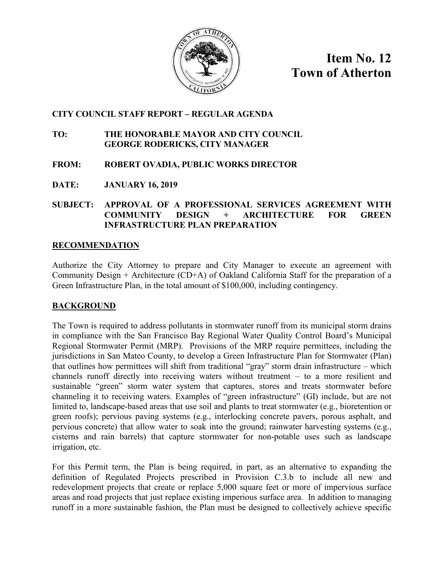

**Item No. 12 Town of Atherton**

### **CITY COUNCIL STAFF REPORT – REGULAR AGENDA**

### **TO: THE HONORABLE MAYOR AND CITY COUNCIL GEORGE RODERICKS, CITY MANAGER**

### **FROM: ROBERT OVADIA, PUBLIC WORKS DIRECTOR**

**DATE: JANUARY 16, 2019**

### **SUBJECT: APPROVAL OF A PROFESSIONAL SERVICES AGREEMENT WITH COMMUNITY DESIGN + ARCHITECTURE FOR GREEN INFRASTRUCTURE PLAN PREPARATION**

### **RECOMMENDATION**

Authorize the City Attorney to prepare and City Manager to execute an agreement with Community Design + Architecture (CD+A) of Oakland California Staff for the preparation of a Green Infrastructure Plan, in the total amount of \$100,000, including contingency.

### **BACKGROUND**

The Town is required to address pollutants in stormwater runoff from its municipal storm drains in compliance with the San Francisco Bay Regional Water Quality Control Board's Municipal Regional Stormwater Permit (MRP). Provisions of the MRP require permittees, including the jurisdictions in San Mateo County, to develop a Green Infrastructure Plan for Stormwater (Plan) that outlines how permittees will shift from traditional "gray" storm drain infrastructure – which channels runoff directly into receiving waters without treatment – to a more resilient and sustainable "green" storm water system that captures, stores and treats stormwater before channeling it to receiving waters. Examples of "green infrastructure" (GI) include, but are not limited to, landscape-based areas that use soil and plants to treat stormwater (e.g., bioretention or green roofs); pervious paving systems (e.g., interlocking concrete pavers, porous asphalt, and pervious concrete) that allow water to soak into the ground; rainwater harvesting systems (e.g., cisterns and rain barrels) that capture stormwater for non-potable uses such as landscape irrigation, etc.

For this Permit term, the Plan is being required, in part, as an alternative to expanding the definition of Regulated Projects prescribed in Provision C.3.b to include all new and redevelopment projects that create or replace 5,000 square feet or more of impervious surface areas and road projects that just replace existing imperious surface area. In addition to managing runoff in a more sustainable fashion, the Plan must be designed to collectively achieve specific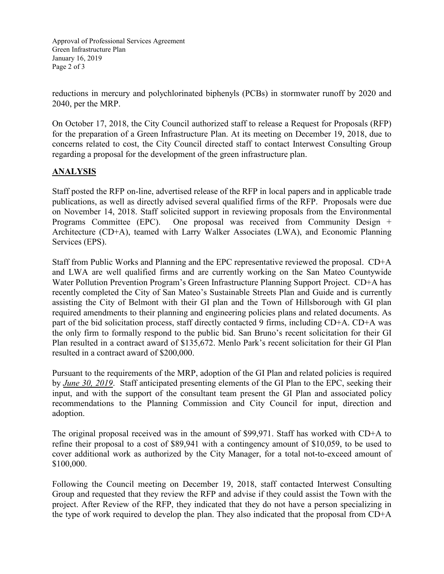Approval of Professional Services Agreement Green Infrastructure Plan January 16, 2019 Page 2 of 3

reductions in mercury and polychlorinated biphenyls (PCBs) in stormwater runoff by 2020 and 2040, per the MRP.

On October 17, 2018, the City Council authorized staff to release a Request for Proposals (RFP) for the preparation of a Green Infrastructure Plan. At its meeting on December 19, 2018, due to concerns related to cost, the City Council directed staff to contact Interwest Consulting Group regarding a proposal for the development of the green infrastructure plan.

### **ANALYSIS**

Staff posted the RFP on-line, advertised release of the RFP in local papers and in applicable trade publications, as well as directly advised several qualified firms of the RFP. Proposals were due on November 14, 2018. Staff solicited support in reviewing proposals from the Environmental Programs Committee (EPC). One proposal was received from Community Design + Architecture (CD+A), teamed with Larry Walker Associates (LWA), and Economic Planning Services (EPS).

Staff from Public Works and Planning and the EPC representative reviewed the proposal. CD+A and LWA are well qualified firms and are currently working on the San Mateo Countywide Water Pollution Prevention Program's Green Infrastructure Planning Support Project. CD+A has recently completed the City of San Mateo's Sustainable Streets Plan and Guide and is currently assisting the City of Belmont with their GI plan and the Town of Hillsborough with GI plan required amendments to their planning and engineering policies plans and related documents. As part of the bid solicitation process, staff directly contacted 9 firms, including CD+A. CD+A was the only firm to formally respond to the public bid. San Bruno's recent solicitation for their GI Plan resulted in a contract award of \$135,672. Menlo Park's recent solicitation for their GI Plan resulted in a contract award of \$200,000.

Pursuant to the requirements of the MRP, adoption of the GI Plan and related policies is required by *June 30, 2019*. Staff anticipated presenting elements of the GI Plan to the EPC, seeking their input, and with the support of the consultant team present the GI Plan and associated policy recommendations to the Planning Commission and City Council for input, direction and adoption.

The original proposal received was in the amount of \$99,971. Staff has worked with CD+A to refine their proposal to a cost of \$89,941 with a contingency amount of \$10,059, to be used to cover additional work as authorized by the City Manager, for a total not-to-exceed amount of \$100,000.

Following the Council meeting on December 19, 2018, staff contacted Interwest Consulting Group and requested that they review the RFP and advise if they could assist the Town with the project. After Review of the RFP, they indicated that they do not have a person specializing in the type of work required to develop the plan. They also indicated that the proposal from CD+A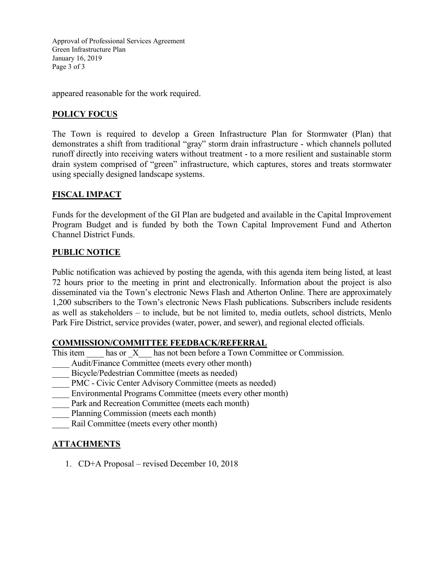Approval of Professional Services Agreement Green Infrastructure Plan January 16, 2019 Page 3 of 3

appeared reasonable for the work required.

## **POLICY FOCUS**

The Town is required to develop a Green Infrastructure Plan for Stormwater (Plan) that demonstrates a shift from traditional "gray" storm drain infrastructure - which channels polluted runoff directly into receiving waters without treatment - to a more resilient and sustainable storm drain system comprised of "green" infrastructure, which captures, stores and treats stormwater using specially designed landscape systems.

## **FISCAL IMPACT**

Funds for the development of the GI Plan are budgeted and available in the Capital Improvement Program Budget and is funded by both the Town Capital Improvement Fund and Atherton Channel District Funds.

### **PUBLIC NOTICE**

Public notification was achieved by posting the agenda, with this agenda item being listed, at least 72 hours prior to the meeting in print and electronically. Information about the project is also disseminated via the Town's electronic News Flash and Atherton Online. There are approximately 1,200 subscribers to the Town's electronic News Flash publications. Subscribers include residents as well as stakeholders – to include, but be not limited to, media outlets, school districts, Menlo Park Fire District, service provides (water, power, and sewer), and regional elected officials.

### **COMMISSION/COMMITTEE FEEDBACK/REFERRAL**

- This item has or X<sub>has</sub> not been before a Town Committee or Commission.
- Audit/Finance Committee (meets every other month)
- Bicycle/Pedestrian Committee (meets as needed)
- PMC Civic Center Advisory Committee (meets as needed)
- Environmental Programs Committee (meets every other month)
- Park and Recreation Committee (meets each month)
- Planning Commission (meets each month)
- Rail Committee (meets every other month)

### **ATTACHMENTS**

1. CD+A Proposal – revised December 10, 2018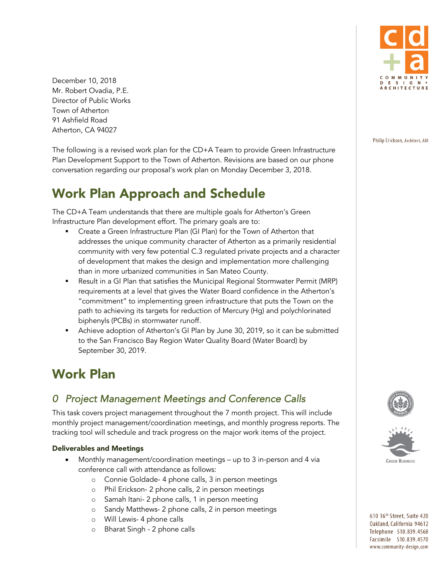December 10, 2018 Mr. Robert Ovadia, P.E. Director of Public Works Town of Atherton 91 Ashfield Road Atherton, CA 94027

The following is a revised work plan for the CD+A Team to provide Green Infrastructure Plan Development Support to the Town of Atherton. Revisions are based on our phone conversation regarding our proposal's work plan on Monday December 3, 2018.

# Work Plan Approach and Schedule

The CD+A Team understands that there are multiple goals for Atherton's Green Infrastructure Plan development effort. The primary goals are to:

- § Create a Green Infrastructure Plan (GI Plan) for the Town of Atherton that addresses the unique community character of Atherton as a primarily residential community with very few potential C.3 regulated private projects and a character of development that makes the design and implementation more challenging than in more urbanized communities in San Mateo County.
- Result in a GI Plan that satisfies the Municipal Regional Stormwater Permit (MRP) requirements at a level that gives the Water Board confidence in the Atherton's "commitment" to implementing green infrastructure that puts the Town on the path to achieving its targets for reduction of Mercury (Hg) and polychlorinated biphenyls (PCBs) in stormwater runoff.
- § Achieve adoption of Atherton's GI Plan by June 30, 2019, so it can be submitted to the San Francisco Bay Region Water Quality Board (Water Board) by September 30, 2019.

# Work Plan

# *0 Project Management Meetings and Conference Calls*

This task covers project management throughout the 7 month project. This will include monthly project management/coordination meetings, and monthly progress reports. The tracking tool will schedule and track progress on the major work items of the project.

### Deliverables and Meetings

- Monthly management/coordination meetings up to 3 in-person and 4 via conference call with attendance as follows:
	- o Connie Goldade- 4 phone calls, 3 in person meetings
	- o Phil Erickson- 2 phone calls, 2 in person meetings
	- o Samah Itani- 2 phone calls, 1 in person meeting
	- o Sandy Matthews- 2 phone calls, 2 in person meetings
	- o Will Lewis- 4 phone calls
	- o Bharat Singh 2 phone calls



Philip Erickson, Architect, AIA





610 16th Street, Suite 420 Oakland, California 94612 Telephone 510.839.4568 Facsimile 510.839.4570 www.community-design.com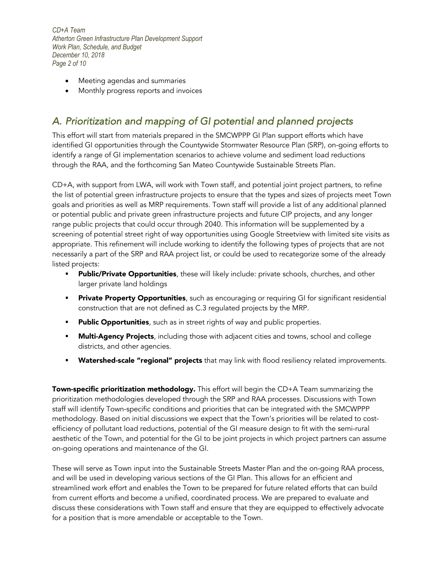*CD+A Team Atherton Green Infrastructure Plan Development Support Work Plan, Schedule, and Budget December 10, 2018 Page 2 of 10*

- Meeting agendas and summaries
- Monthly progress reports and invoices

# *A. Prioritization and mapping of GI potential and planned projects*

This effort will start from materials prepared in the SMCWPPP GI Plan support efforts which have identified GI opportunities through the Countywide Stormwater Resource Plan (SRP), on-going efforts to identify a range of GI implementation scenarios to achieve volume and sediment load reductions through the RAA, and the forthcoming San Mateo Countywide Sustainable Streets Plan.

CD+A, with support from LWA, will work with Town staff, and potential joint project partners, to refine the list of potential green infrastructure projects to ensure that the types and sizes of projects meet Town goals and priorities as well as MRP requirements. Town staff will provide a list of any additional planned or potential public and private green infrastructure projects and future CIP projects, and any longer range public projects that could occur through 2040. This information will be supplemented by a screening of potential street right of way opportunities using Google Streetview with limited site visits as appropriate. This refinement will include working to identify the following types of projects that are not necessarily a part of the SRP and RAA project list, or could be used to recategorize some of the already listed projects:

- Public/Private Opportunities, these will likely include: private schools, churches, and other larger private land holdings
- **Private Property Opportunities**, such as encouraging or requiring GI for significant residential construction that are not defined as C.3 regulated projects by the MRP.
- **Public Opportunities**, such as in street rights of way and public properties.
- **Multi-Agency Projects**, including those with adjacent cities and towns, school and college districts, and other agencies.
- **Watershed-scale "regional" projects** that may link with flood resiliency related improvements.

Town-specific prioritization methodology. This effort will begin the CD+A Team summarizing the prioritization methodologies developed through the SRP and RAA processes. Discussions with Town staff will identify Town-specific conditions and priorities that can be integrated with the SMCWPPP methodology. Based on initial discussions we expect that the Town's priorities will be related to costefficiency of pollutant load reductions, potential of the GI measure design to fit with the semi-rural aesthetic of the Town, and potential for the GI to be joint projects in which project partners can assume on-going operations and maintenance of the GI.

These will serve as Town input into the Sustainable Streets Master Plan and the on-going RAA process, and will be used in developing various sections of the GI Plan. This allows for an efficient and streamlined work effort and enables the Town to be prepared for future related efforts that can build from current efforts and become a unified, coordinated process. We are prepared to evaluate and discuss these considerations with Town staff and ensure that they are equipped to effectively advocate for a position that is more amendable or acceptable to the Town.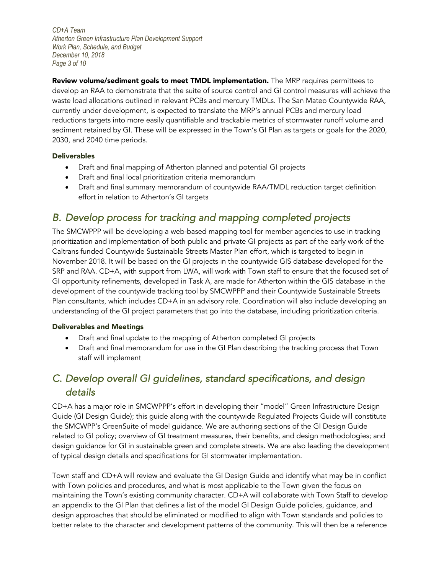*CD+A Team Atherton Green Infrastructure Plan Development Support Work Plan, Schedule, and Budget December 10, 2018 Page 3 of 10*

Review volume/sediment goals to meet TMDL implementation. The MRP requires permittees to develop an RAA to demonstrate that the suite of source control and GI control measures will achieve the waste load allocations outlined in relevant PCBs and mercury TMDLs. The San Mateo Countywide RAA, currently under development, is expected to translate the MRP's annual PCBs and mercury load reductions targets into more easily quantifiable and trackable metrics of stormwater runoff volume and sediment retained by GI. These will be expressed in the Town's GI Plan as targets or goals for the 2020, 2030, and 2040 time periods.

#### Deliverables

- Draft and final mapping of Atherton planned and potential GI projects
- Draft and final local prioritization criteria memorandum
- Draft and final summary memorandum of countywide RAA/TMDL reduction target definition effort in relation to Atherton's GI targets

# *B. Develop process for tracking and mapping completed projects*

The SMCWPPP will be developing a web-based mapping tool for member agencies to use in tracking prioritization and implementation of both public and private GI projects as part of the early work of the Caltrans funded Countywide Sustainable Streets Master Plan effort, which is targeted to begin in November 2018. It will be based on the GI projects in the countywide GIS database developed for the SRP and RAA. CD+A, with support from LWA, will work with Town staff to ensure that the focused set of GI opportunity refinements, developed in Task A, are made for Atherton within the GIS database in the development of the countywide tracking tool by SMCWPPP and their Countywide Sustainable Streets Plan consultants, which includes CD+A in an advisory role. Coordination will also include developing an understanding of the GI project parameters that go into the database, including prioritization criteria.

#### Deliverables and Meetings

- Draft and final update to the mapping of Atherton completed GI projects
- Draft and final memorandum for use in the GI Plan describing the tracking process that Town staff will implement

# *C. Develop overall GI guidelines, standard specifications, and design details*

CD+A has a major role in SMCWPPP's effort in developing their "model" Green Infrastructure Design Guide (GI Design Guide); this guide along with the countywide Regulated Projects Guide will constitute the SMCWPP's GreenSuite of model guidance. We are authoring sections of the GI Design Guide related to GI policy; overview of GI treatment measures, their benefits, and design methodologies; and design guidance for GI in sustainable green and complete streets. We are also leading the development of typical design details and specifications for GI stormwater implementation.

Town staff and CD+A will review and evaluate the GI Design Guide and identify what may be in conflict with Town policies and procedures, and what is most applicable to the Town given the focus on maintaining the Town's existing community character. CD+A will collaborate with Town Staff to develop an appendix to the GI Plan that defines a list of the model GI Design Guide policies, guidance, and design approaches that should be eliminated or modified to align with Town standards and policies to better relate to the character and development patterns of the community. This will then be a reference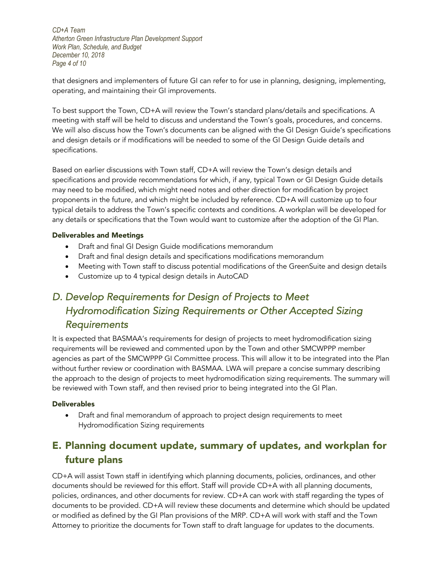*CD+A Team Atherton Green Infrastructure Plan Development Support Work Plan, Schedule, and Budget December 10, 2018 Page 4 of 10*

that designers and implementers of future GI can refer to for use in planning, designing, implementing, operating, and maintaining their GI improvements.

To best support the Town, CD+A will review the Town's standard plans/details and specifications. A meeting with staff will be held to discuss and understand the Town's goals, procedures, and concerns. We will also discuss how the Town's documents can be aligned with the GI Design Guide's specifications and design details or if modifications will be needed to some of the GI Design Guide details and specifications.

Based on earlier discussions with Town staff, CD+A will review the Town's design details and specifications and provide recommendations for which, if any, typical Town or GI Design Guide details may need to be modified, which might need notes and other direction for modification by project proponents in the future, and which might be included by reference. CD+A will customize up to four typical details to address the Town's specific contexts and conditions. A workplan will be developed for any details or specifications that the Town would want to customize after the adoption of the GI Plan.

#### Deliverables and Meetings

- Draft and final GI Design Guide modifications memorandum
- Draft and final design details and specifications modifications memorandum
- Meeting with Town staff to discuss potential modifications of the GreenSuite and design details
- Customize up to 4 typical design details in AutoCAD

# *D. Develop Requirements for Design of Projects to Meet Hydromodification Sizing Requirements or Other Accepted Sizing Requirements*

It is expected that BASMAA's requirements for design of projects to meet hydromodification sizing requirements will be reviewed and commented upon by the Town and other SMCWPPP member agencies as part of the SMCWPPP GI Committee process. This will allow it to be integrated into the Plan without further review or coordination with BASMAA. LWA will prepare a concise summary describing the approach to the design of projects to meet hydromodification sizing requirements. The summary will be reviewed with Town staff, and then revised prior to being integrated into the GI Plan.

### **Deliverables**

• Draft and final memorandum of approach to project design requirements to meet Hydromodification Sizing requirements

# E. Planning document update, summary of updates, and workplan for future plans

CD+A will assist Town staff in identifying which planning documents, policies, ordinances, and other documents should be reviewed for this effort. Staff will provide CD+A with all planning documents, policies, ordinances, and other documents for review. CD+A can work with staff regarding the types of documents to be provided. CD+A will review these documents and determine which should be updated or modified as defined by the GI Plan provisions of the MRP. CD+A will work with staff and the Town Attorney to prioritize the documents for Town staff to draft language for updates to the documents.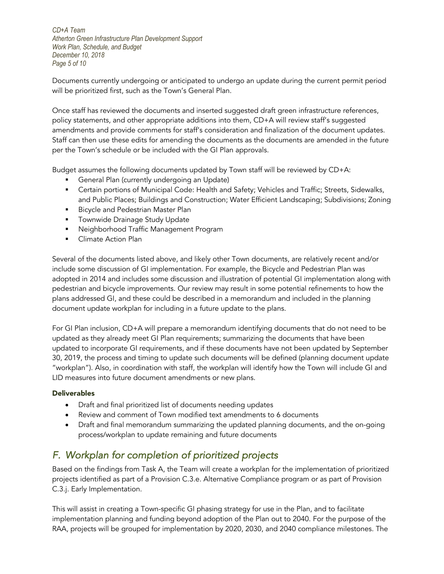*CD+A Team Atherton Green Infrastructure Plan Development Support Work Plan, Schedule, and Budget December 10, 2018 Page 5 of 10*

Documents currently undergoing or anticipated to undergo an update during the current permit period will be prioritized first, such as the Town's General Plan.

Once staff has reviewed the documents and inserted suggested draft green infrastructure references, policy statements, and other appropriate additions into them, CD+A will review staff's suggested amendments and provide comments for staff's consideration and finalization of the document updates. Staff can then use these edits for amending the documents as the documents are amended in the future per the Town's schedule or be included with the GI Plan approvals.

Budget assumes the following documents updated by Town staff will be reviewed by CD+A:

- **•** General Plan (currently undergoing an Update)
- Certain portions of Municipal Code: Health and Safety; Vehicles and Traffic; Streets, Sidewalks, and Public Places; Buildings and Construction; Water Efficient Landscaping; Subdivisions; Zoning
- Bicycle and Pedestrian Master Plan
- **•** Townwide Drainage Study Update
- Neighborhood Traffic Management Program
- Climate Action Plan

Several of the documents listed above, and likely other Town documents, are relatively recent and/or include some discussion of GI implementation. For example, the Bicycle and Pedestrian Plan was adopted in 2014 and includes some discussion and illustration of potential GI implementation along with pedestrian and bicycle improvements. Our review may result in some potential refinements to how the plans addressed GI, and these could be described in a memorandum and included in the planning document update workplan for including in a future update to the plans.

For GI Plan inclusion, CD+A will prepare a memorandum identifying documents that do not need to be updated as they already meet GI Plan requirements; summarizing the documents that have been updated to incorporate GI requirements, and if these documents have not been updated by September 30, 2019, the process and timing to update such documents will be defined (planning document update "workplan"). Also, in coordination with staff, the workplan will identify how the Town will include GI and LID measures into future document amendments or new plans.

#### **Deliverables**

- Draft and final prioritized list of documents needing updates
- Review and comment of Town modified text amendments to 6 documents
- Draft and final memorandum summarizing the updated planning documents, and the on-going process/workplan to update remaining and future documents

## *F. Workplan for completion of prioritized projects*

Based on the findings from Task A, the Team will create a workplan for the implementation of prioritized projects identified as part of a Provision C.3.e. Alternative Compliance program or as part of Provision C.3.j. Early Implementation.

This will assist in creating a Town-specific GI phasing strategy for use in the Plan, and to facilitate implementation planning and funding beyond adoption of the Plan out to 2040. For the purpose of the RAA, projects will be grouped for implementation by 2020, 2030, and 2040 compliance milestones. The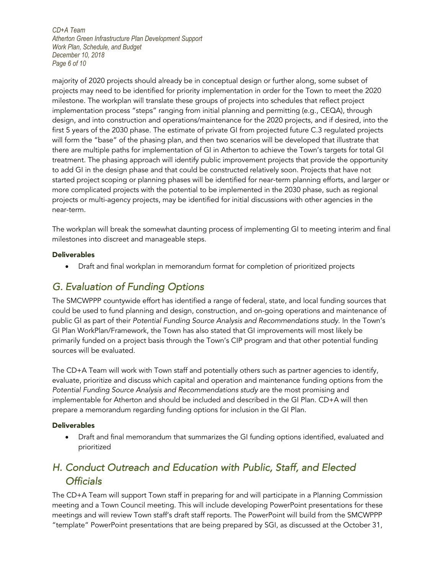*CD+A Team Atherton Green Infrastructure Plan Development Support Work Plan, Schedule, and Budget December 10, 2018 Page 6 of 10*

majority of 2020 projects should already be in conceptual design or further along, some subset of projects may need to be identified for priority implementation in order for the Town to meet the 2020 milestone. The workplan will translate these groups of projects into schedules that reflect project implementation process "steps" ranging from initial planning and permitting (e.g., CEQA), through design, and into construction and operations/maintenance for the 2020 projects, and if desired, into the first 5 years of the 2030 phase. The estimate of private GI from projected future C.3 regulated projects will form the "base" of the phasing plan, and then two scenarios will be developed that illustrate that there are multiple paths for implementation of GI in Atherton to achieve the Town's targets for total GI treatment. The phasing approach will identify public improvement projects that provide the opportunity to add GI in the design phase and that could be constructed relatively soon. Projects that have not started project scoping or planning phases will be identified for near-term planning efforts, and larger or more complicated projects with the potential to be implemented in the 2030 phase, such as regional projects or multi-agency projects, may be identified for initial discussions with other agencies in the near-term.

The workplan will break the somewhat daunting process of implementing GI to meeting interim and final milestones into discreet and manageable steps.

#### **Deliverables**

• Draft and final workplan in memorandum format for completion of prioritized projects

# *G. Evaluation of Funding Options*

The SMCWPPP countywide effort has identified a range of federal, state, and local funding sources that could be used to fund planning and design, construction, and on-going operations and maintenance of public GI as part of their *Potential Funding Source Analysis and Recommendations study*. In the Town's GI Plan WorkPlan/Framework, the Town has also stated that GI improvements will most likely be primarily funded on a project basis through the Town's CIP program and that other potential funding sources will be evaluated.

The CD+A Team will work with Town staff and potentially others such as partner agencies to identify, evaluate, prioritize and discuss which capital and operation and maintenance funding options from the *Potential Funding Source Analysis and Recommendations study* are the most promising and implementable for Atherton and should be included and described in the GI Plan. CD+A will then prepare a memorandum regarding funding options for inclusion in the GI Plan.

#### **Deliverables**

• Draft and final memorandum that summarizes the GI funding options identified, evaluated and prioritized

# *H. Conduct Outreach and Education with Public, Staff, and Elected Officials*

The CD+A Team will support Town staff in preparing for and will participate in a Planning Commission meeting and a Town Council meeting. This will include developing PowerPoint presentations for these meetings and will review Town staff's draft staff reports. The PowerPoint will build from the SMCWPPP "template" PowerPoint presentations that are being prepared by SGI, as discussed at the October 31,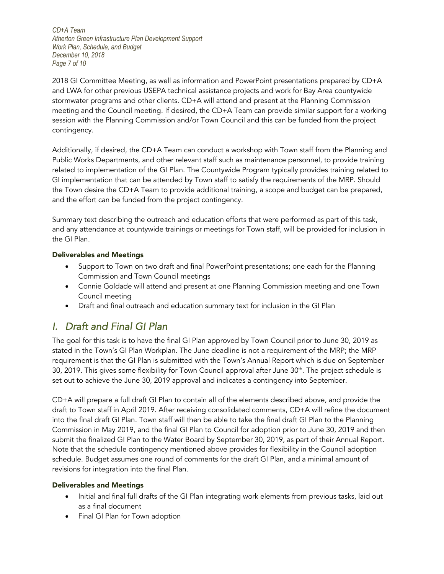*CD+A Team Atherton Green Infrastructure Plan Development Support Work Plan, Schedule, and Budget December 10, 2018 Page 7 of 10*

2018 GI Committee Meeting, as well as information and PowerPoint presentations prepared by CD+A and LWA for other previous USEPA technical assistance projects and work for Bay Area countywide stormwater programs and other clients. CD+A will attend and present at the Planning Commission meeting and the Council meeting. If desired, the CD+A Team can provide similar support for a working session with the Planning Commission and/or Town Council and this can be funded from the project contingency.

Additionally, if desired, the CD+A Team can conduct a workshop with Town staff from the Planning and Public Works Departments, and other relevant staff such as maintenance personnel, to provide training related to implementation of the GI Plan. The Countywide Program typically provides training related to GI implementation that can be attended by Town staff to satisfy the requirements of the MRP. Should the Town desire the CD+A Team to provide additional training, a scope and budget can be prepared, and the effort can be funded from the project contingency.

Summary text describing the outreach and education efforts that were performed as part of this task, and any attendance at countywide trainings or meetings for Town staff, will be provided for inclusion in the GI Plan.

### Deliverables and Meetings

- Support to Town on two draft and final PowerPoint presentations; one each for the Planning Commission and Town Council meetings
- Connie Goldade will attend and present at one Planning Commission meeting and one Town Council meeting
- Draft and final outreach and education summary text for inclusion in the GI Plan

## *I. Draft and Final GI Plan*

The goal for this task is to have the final GI Plan approved by Town Council prior to June 30, 2019 as stated in the Town's GI Plan Workplan. The June deadline is not a requirement of the MRP; the MRP requirement is that the GI Plan is submitted with the Town's Annual Report which is due on September 30, 2019. This gives some flexibility for Town Council approval after June 30<sup>th</sup>. The project schedule is set out to achieve the June 30, 2019 approval and indicates a contingency into September.

CD+A will prepare a full draft GI Plan to contain all of the elements described above, and provide the draft to Town staff in April 2019. After receiving consolidated comments, CD+A will refine the document into the final draft GI Plan. Town staff will then be able to take the final draft GI Plan to the Planning Commission in May 2019, and the final GI Plan to Council for adoption prior to June 30, 2019 and then submit the finalized GI Plan to the Water Board by September 30, 2019, as part of their Annual Report. Note that the schedule contingency mentioned above provides for flexibility in the Council adoption schedule. Budget assumes one round of comments for the draft GI Plan, and a minimal amount of revisions for integration into the final Plan.

#### Deliverables and Meetings

- Initial and final full drafts of the GI Plan integrating work elements from previous tasks, laid out as a final document
- Final GI Plan for Town adoption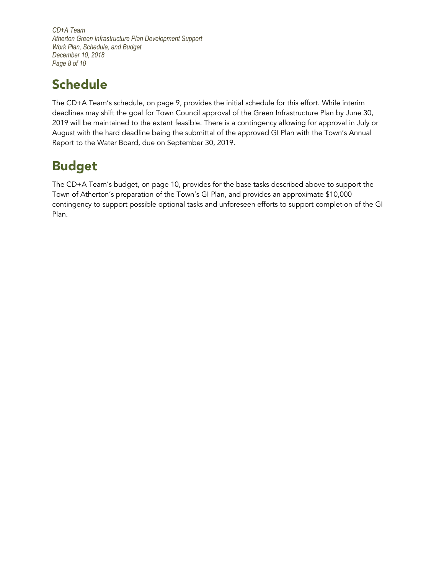*CD+A Team Atherton Green Infrastructure Plan Development Support Work Plan, Schedule, and Budget December 10, 2018 Page 8 of 10*

# **Schedule**

The CD+A Team's schedule, on page 9, provides the initial schedule for this effort. While interim deadlines may shift the goal for Town Council approval of the Green Infrastructure Plan by June 30, 2019 will be maintained to the extent feasible. There is a contingency allowing for approval in July or August with the hard deadline being the submittal of the approved GI Plan with the Town's Annual Report to the Water Board, due on September 30, 2019.

# Budget

The CD+A Team's budget, on page 10, provides for the base tasks described above to support the Town of Atherton's preparation of the Town's GI Plan, and provides an approximate \$10,000 contingency to support possible optional tasks and unforeseen efforts to support completion of the GI Plan.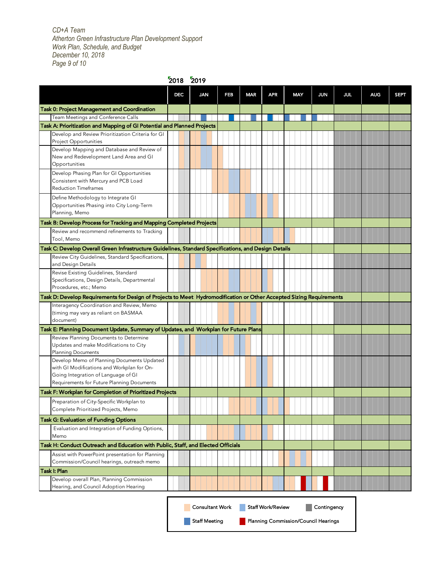*CD+A Team Atherton Green Infrastructure Plan Development Support Work Plan, Schedule, and Budget December 10, 2018 Page 9 of 10*

|                                                                                                                     | 2018 2019  |                        |     |            |                                      |            |             |            |            |             |
|---------------------------------------------------------------------------------------------------------------------|------------|------------------------|-----|------------|--------------------------------------|------------|-------------|------------|------------|-------------|
|                                                                                                                     | <b>DEC</b> | <b>JAN</b>             | FEB | <b>MAR</b> | <b>APR</b>                           | <b>MAY</b> | <b>JUN</b>  | <b>JUL</b> | <b>AUG</b> | <b>SEPT</b> |
| <b>Task 0: Project Management and Coordination</b>                                                                  |            |                        |     |            |                                      |            |             |            |            |             |
| Team Meetings and Conference Calls                                                                                  |            |                        |     |            |                                      |            |             |            |            |             |
| Task A: Prioritization and Mapping of GI Potential and Planned Projects                                             |            |                        |     |            |                                      |            |             |            |            |             |
| Develop and Review Prioritization Criteria for GI                                                                   |            |                        |     |            |                                      |            |             |            |            |             |
| Project Opportunities<br>Develop Mapping and Database and Review of                                                 |            |                        |     |            |                                      |            |             |            |            |             |
| New and Redevelopment Land Area and GI                                                                              |            |                        |     |            |                                      |            |             |            |            |             |
| Opportunities                                                                                                       |            |                        |     |            |                                      |            |             |            |            |             |
| Develop Phasing Plan for GI Opportunities                                                                           |            |                        |     |            |                                      |            |             |            |            |             |
| Consistent with Mercury and PCB Load<br><b>Reduction Timeframes</b>                                                 |            |                        |     |            |                                      |            |             |            |            |             |
| Define Methodology to Integrate GI                                                                                  |            |                        |     |            |                                      |            |             |            |            |             |
| Opportunities Phasing into City Long-Term                                                                           |            |                        |     |            |                                      |            |             |            |            |             |
| Planning, Memo                                                                                                      |            |                        |     |            |                                      |            |             |            |            |             |
| Task B: Develop Process for Tracking and Mapping Completed Projects                                                 |            |                        |     |            |                                      |            |             |            |            |             |
| Review and recommend refinements to Tracking<br>Tool, Memo                                                          |            |                        |     |            |                                      |            |             |            |            |             |
| Task C: Develop Overall Green Infrastructure Guidelines, Standard Specifications, and Design Details                |            |                        |     |            |                                      |            |             |            |            |             |
| Review City Guidelines, Standard Specifications,<br>and Design Details                                              |            |                        |     |            |                                      |            |             |            |            |             |
| Revise Existing Guidelines, Standard                                                                                |            |                        |     |            |                                      |            |             |            |            |             |
| Specifications, Design Details, Departmental                                                                        |            |                        |     |            |                                      |            |             |            |            |             |
| Procedures, etc.; Memo                                                                                              |            |                        |     |            |                                      |            |             |            |            |             |
| Task D: Develop Requirements for Design of Projects to Meet Hydromodification or Other Accepted Sizing Requirements |            |                        |     |            |                                      |            |             |            |            |             |
| Interagency Coordination and Review, Memo                                                                           |            |                        |     |            |                                      |            |             |            |            |             |
| (timing may vary as reliant on BASMAA<br>document)                                                                  |            |                        |     |            |                                      |            |             |            |            |             |
| Task E: Planning Document Update, Summary of Updates, and Workplan for Future Plans                                 |            |                        |     |            |                                      |            |             |            |            |             |
| Review Planning Documents to Determine                                                                              |            |                        |     |            |                                      |            |             |            |            |             |
| Updates and make Modifications to City                                                                              |            |                        |     |            |                                      |            |             |            |            |             |
| <b>Planning Documents</b>                                                                                           |            |                        |     |            |                                      |            |             |            |            |             |
| Develop Memo of Planning Documents Updated<br>with GI Modifications and Workplan for On-                            |            |                        |     |            |                                      |            |             |            |            |             |
| Going Integration of Language of GI                                                                                 |            |                        |     |            |                                      |            |             |            |            |             |
| Requirements for Future Planning Documents                                                                          |            |                        |     |            |                                      |            |             |            |            |             |
| Task F: Workplan for Completion of Prioritized Projects                                                             |            |                        |     |            |                                      |            |             |            |            |             |
| Preparation of City-Specific Workplan to<br>Complete Prioritized Projects, Memo                                     |            |                        |     |            |                                      |            |             |            |            |             |
| <b>Task G: Evaluation of Funding Options</b>                                                                        |            |                        |     |            |                                      |            |             |            |            |             |
| Evaluation and Integration of Funding Options,                                                                      |            |                        |     |            |                                      |            |             |            |            |             |
| Memo                                                                                                                |            |                        |     |            |                                      |            |             |            |            |             |
| Task H: Conduct Outreach and Education with Public, Staff, and Elected Officials                                    |            |                        |     |            |                                      |            |             |            |            |             |
| Assist with PowerPoint presentation for Planning                                                                    |            |                        |     |            |                                      |            |             |            |            |             |
| Commission/Council hearings, outreach memo                                                                          |            |                        |     |            |                                      |            |             |            |            |             |
| <b>Task I: Plan</b>                                                                                                 |            |                        |     |            |                                      |            |             |            |            |             |
| Develop overall Plan, Planning Commission                                                                           |            |                        |     |            |                                      |            |             |            |            |             |
| Hearing, and Council Adoption Hearing                                                                               |            |                        |     |            |                                      |            |             |            |            |             |
|                                                                                                                     |            | <b>Consultant Work</b> |     |            | <b>Staff Work/Review</b>             |            | Contingency |            |            |             |
|                                                                                                                     |            | <b>Staff Meeting</b>   |     |            | Planning Commission/Council Hearings |            |             |            |            |             |